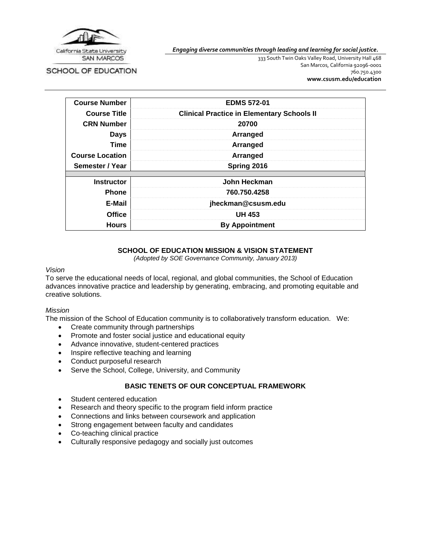

*Engaging diverse communities through leading and learning for social justice.*

SCHOOL OF EDUCATION

333 South Twin Oaks Valley Road, University Hall 468 San Marcos, California 92096-0001 760.750.4300 **[www.csusm.edu/education](http://www.csusm.edu/education)**

| <b>Course Number</b>   | <b>EDMS 572-01</b>                                |
|------------------------|---------------------------------------------------|
| <b>Course Title</b>    | <b>Clinical Practice in Elementary Schools II</b> |
| <b>CRN Number</b>      | 20700                                             |
| <b>Days</b>            | Arranged                                          |
| <b>Time</b>            | Arranged                                          |
| <b>Course Location</b> | Arranged                                          |
| Semester / Year        | Spring 2016                                       |
| <b>Instructor</b>      | John Heckman                                      |
| <b>Phone</b>           | 760.750.4258                                      |
| E-Mail                 | jheckman@csusm.edu                                |
| <b>Office</b>          | <b>UH 453</b>                                     |
| <b>Hours</b>           | <b>By Appointment</b>                             |

## **SCHOOL OF EDUCATION MISSION & VISION STATEMENT**

*(Adopted by SOE Governance Community, January 2013)*

#### *Vision*

To serve the educational needs of local, regional, and global communities, the School of Education advances innovative practice and leadership by generating, embracing, and promoting equitable and creative solutions.

#### *Mission*

The mission of the School of Education community is to collaboratively transform education. We:

- Create community through partnerships
- Promote and foster social justice and educational equity
- Advance innovative, student-centered practices
- Inspire reflective teaching and learning
- Conduct purposeful research
- Serve the School, College, University, and Community

#### **BASIC TENETS OF OUR CONCEPTUAL FRAMEWORK**

- Student centered education
- Research and theory specific to the program field inform practice
- Connections and links between coursework and application
- Strong engagement between faculty and candidates
- Co-teaching clinical practice
- Culturally responsive pedagogy and socially just outcomes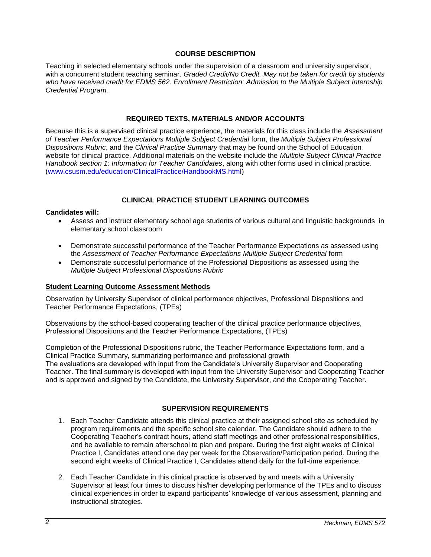### **COURSE DESCRIPTION**

Teaching in selected elementary schools under the supervision of a classroom and university supervisor, with a concurrent student teaching seminar. *Graded Credit/No Credit. May not be taken for credit by students who have received credit for EDMS 562. Enrollment Restriction: Admission to the Multiple Subject Internship Credential Program.*

### **REQUIRED TEXTS, MATERIALS AND/OR ACCOUNTS**

Because this is a supervised clinical practice experience, the materials for this class include the *Assessment of Teacher Performance Expectations Multiple Subject Credential* form, the *Multiple Subject Professional Dispositions Rubric*, and the *Clinical Practice Summary* that may be found on the School of Education website for clinical practice. Additional materials on the website include the *Multiple Subject Clinical Practice Handbook section 1: Information for Teacher Candidates*, along with other forms used in clinical practice. [\(www.csusm.edu/education/ClinicalPractice/HandbookMS.html\)](http://www.csusm.edu/education/ClinicalPractice/HandbookMS.html)

## **CLINICAL PRACTICE STUDENT LEARNING OUTCOMES**

#### **Candidates will:**

- Assess and instruct elementary school age students of various cultural and linguistic backgrounds in elementary school classroom
- Demonstrate successful performance of the Teacher Performance Expectations as assessed using the *Assessment of Teacher Performance Expectations Multiple Subject Credential* form
- Demonstrate successful performance of the Professional Dispositions as assessed using the *Multiple Subject Professional Dispositions Rubric*

### **Student Learning Outcome Assessment Methods**

Observation by University Supervisor of clinical performance objectives, Professional Dispositions and Teacher Performance Expectations, (TPEs)

Observations by the school-based cooperating teacher of the clinical practice performance objectives, Professional Dispositions and the Teacher Performance Expectations, (TPEs)

Completion of the Professional Dispositions rubric, the Teacher Performance Expectations form, and a Clinical Practice Summary, summarizing performance and professional growth The evaluations are developed with input from the Candidate's University Supervisor and Cooperating Teacher. The final summary is developed with input from the University Supervisor and Cooperating Teacher and is approved and signed by the Candidate, the University Supervisor, and the Cooperating Teacher.

## **SUPERVISION REQUIREMENTS**

- 1. Each Teacher Candidate attends this clinical practice at their assigned school site as scheduled by program requirements and the specific school site calendar. The Candidate should adhere to the Cooperating Teacher's contract hours, attend staff meetings and other professional responsibilities, and be available to remain afterschool to plan and prepare. During the first eight weeks of Clinical Practice I, Candidates attend one day per week for the Observation/Participation period. During the second eight weeks of Clinical Practice I, Candidates attend daily for the full-time experience.
- 2. Each Teacher Candidate in this clinical practice is observed by and meets with a University Supervisor at least four times to discuss his/her developing performance of the TPEs and to discuss clinical experiences in order to expand participants' knowledge of various assessment, planning and instructional strategies.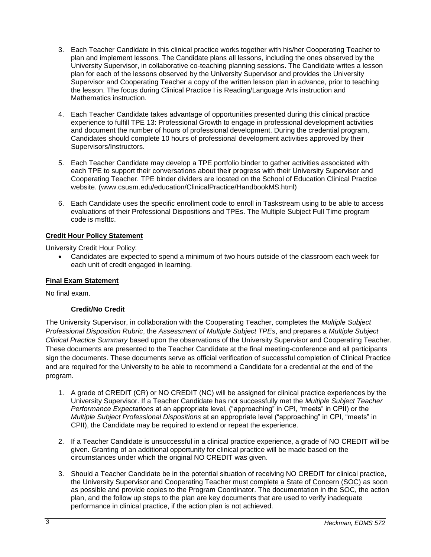- 3. Each Teacher Candidate in this clinical practice works together with his/her Cooperating Teacher to plan and implement lessons. The Candidate plans all lessons, including the ones observed by the University Supervisor, in collaborative co-teaching planning sessions. The Candidate writes a lesson plan for each of the lessons observed by the University Supervisor and provides the University Supervisor and Cooperating Teacher a copy of the written lesson plan in advance, prior to teaching the lesson. The focus during Clinical Practice I is Reading/Language Arts instruction and Mathematics instruction.
- 4. Each Teacher Candidate takes advantage of opportunities presented during this clinical practice experience to fulfill TPE 13: Professional Growth to engage in professional development activities and document the number of hours of professional development. During the credential program, Candidates should complete 10 hours of professional development activities approved by their Supervisors/Instructors.
- 5. Each Teacher Candidate may develop a TPE portfolio binder to gather activities associated with each TPE to support their conversations about their progress with their University Supervisor and Cooperating Teacher. TPE binder dividers are located on the School of Education Clinical Practice website. (www.csusm.edu/education/ClinicalPractice/HandbookMS.html)
- 6. Each Candidate uses the specific enrollment code to enroll in Taskstream using to be able to access evaluations of their Professional Dispositions and TPEs. The Multiple Subject Full Time program code is msfttc.

# **Credit Hour Policy Statement**

University Credit Hour Policy:

 Candidates are expected to spend a minimum of two hours outside of the classroom each week for each unit of credit engaged in learning.

## **Final Exam Statement**

No final exam.

## **Credit/No Credit**

The University Supervisor, in collaboration with the Cooperating Teacher, completes the *Multiple Subject Professional Disposition Rubric*, the *Assessment of Multiple Subject TPEs*, and prepares a *Multiple Subject Clinical Practice Summary* based upon the observations of the University Supervisor and Cooperating Teacher. These documents are presented to the Teacher Candidate at the final meeting-conference and all participants sign the documents. These documents serve as official verification of successful completion of Clinical Practice and are required for the University to be able to recommend a Candidate for a credential at the end of the program.

- 1. A grade of CREDIT (CR) or NO CREDIT (NC) will be assigned for clinical practice experiences by the University Supervisor. If a Teacher Candidate has not successfully met the *Multiple Subject Teacher Performance Expectations* at an appropriate level, ("approaching" in CPI, "meets" in CPII) or the *Multiple Subject Professional Dispositions* at an appropriate level ("approaching" in CPI, "meets" in CPII), the Candidate may be required to extend or repeat the experience.
- 2. If a Teacher Candidate is unsuccessful in a clinical practice experience, a grade of NO CREDIT will be given. Granting of an additional opportunity for clinical practice will be made based on the circumstances under which the original NO CREDIT was given.
- 3. Should a Teacher Candidate be in the potential situation of receiving NO CREDIT for clinical practice, the University Supervisor and Cooperating Teacher must complete a State of Concern (SOC) as soon as possible and provide copies to the Program Coordinator. The documentation in the SOC, the action plan, and the follow up steps to the plan are key documents that are used to verify inadequate performance in clinical practice, if the action plan is not achieved.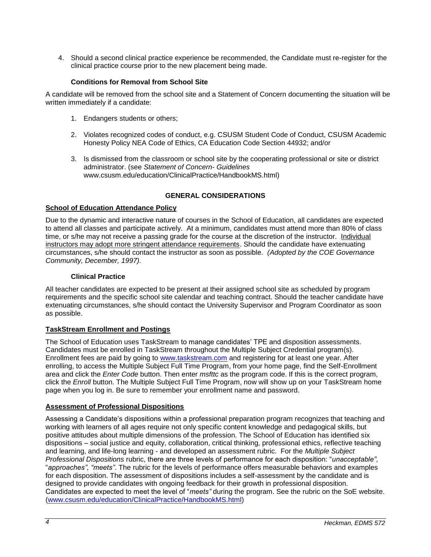4. Should a second clinical practice experience be recommended, the Candidate must re-register for the clinical practice course prior to the new placement being made.

### **Conditions for Removal from School Site**

A candidate will be removed from the school site and a Statement of Concern documenting the situation will be written immediately if a candidate:

- 1. Endangers students or others;
- 2. Violates recognized codes of conduct, e.g. CSUSM Student Code of Conduct, CSUSM Academic Honesty Policy NEA Code of Ethics, CA Education Code Section 44932; and/or
- 3. Is dismissed from the classroom or school site by the cooperating professional or site or district administrator. (see *Statement of Concern- Guidelines* www.csusm.edu/education/ClinicalPractice/HandbookMS.html)

## **GENERAL CONSIDERATIONS**

#### **School of Education Attendance Policy**

Due to the dynamic and interactive nature of courses in the School of Education, all candidates are expected to attend all classes and participate actively. At a minimum, candidates must attend more than 80% of class time, or s/he may not receive a passing grade for the course at the discretion of the instructor. Individual instructors may adopt more stringent attendance requirements. Should the candidate have extenuating circumstances, s/he should contact the instructor as soon as possible. *(Adopted by the COE Governance Community, December, 1997).*

#### **Clinical Practice**

All teacher candidates are expected to be present at their assigned school site as scheduled by program requirements and the specific school site calendar and teaching contract. Should the teacher candidate have extenuating circumstances, s/he should contact the University Supervisor and Program Coordinator as soon as possible.

#### **TaskStream Enrollment and Postings**

The School of Education uses TaskStream to manage candidates' TPE and disposition assessments. Candidates must be enrolled in TaskStream throughout the Multiple Subject Credential program(s). Enrollment fees are paid by going to [www.taskstream.com](http://www.taskstrem.com/) and registering for at least one year. After enrolling, to access the Multiple Subject Full Time Program, from your home page, find the Self-Enrollment area and click the *Enter Code* button. Then enter *msfttc* as the program code. If this is the correct program, click the *Enroll* button. The Multiple Subject Full Time Program, now will show up on your TaskStream home page when you log in. Be sure to remember your enrollment name and password.

#### **Assessment of Professional Dispositions**

Assessing a Candidate's dispositions within a professional preparation program recognizes that teaching and working with learners of all ages require not only specific content knowledge and pedagogical skills, but positive attitudes about multiple dimensions of the profession. The School of Education has identified six dispositions – social justice and equity, collaboration, critical thinking, professional ethics, reflective teaching and learning, and life-long learning - and developed an assessment rubric. For the *Multiple Subject Professional Dispositions* rubric, there are three levels of performance for each disposition: "*unacceptable"*, "*approaches", "meets"*. The rubric for the levels of performance offers measurable behaviors and examples for each disposition. The assessment of dispositions includes a self-assessment by the candidate and is designed to provide candidates with ongoing feedback for their growth in professional disposition. Candidates are expected to meet the level of "*meets"* during the program. See the rubric on the SoE website. [\(www.csusm.edu/education/ClinicalPractice/HandbookMS.html\)](http://www.csusm.edu/education/ClinicalPractice/HandbookMS.html)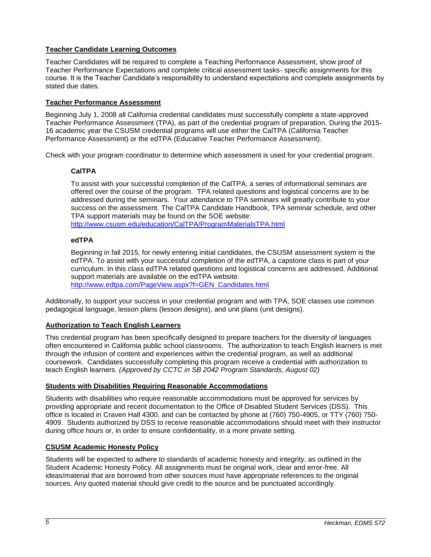## **Teacher Candidate Learning Outcomes**

Teacher Candidates will be required to complete a Teaching Performance Assessment, show proof of Teacher Performance Expectations and complete critical assessment tasks- specific assignments for this course. It is the Teacher Candidate's responsibility to understand expectations and complete assignments by stated due dates.

# **Teacher Performance Assessment**

Beginning July 1, 2008 all California credential candidates must successfully complete a state-approved Teacher Performance Assessment (TPA), as part of the credential program of preparation. During the 2015- 16 academic year the CSUSM credential programs will use either the CalTPA (California Teacher Performance Assessment) or the edTPA (Educative Teacher Performance Assessment).

Check with your program coordinator to determine which assessment is used for your credential program.

## **CalTPA**

To assist with your successful completion of the CalTPA, a series of informational seminars are offered over the course of the program. TPA related questions and logistical concerns are to be addressed during the seminars. Your attendance to TPA seminars will greatly contribute to your success on the assessment. The CalTPA Candidate Handbook, TPA seminar schedule, and other TPA support materials may be found on the SOE website: <http://www.csusm.edu/education/CalTPA/ProgramMaterialsTPA.html>

## **edTPA**

Beginning in fall 2015, for newly entering initial candidates, the CSUSM assessment system is the edTPA. To assist with your successful completion of the edTPA, a capstone class is part of your curriculum. In this class edTPA related questions and logistical concerns are addressed. Additional support materials are available on the edTPA website:

[http://www.edtpa.com/PageView.aspx?f=GEN\\_Candidates.html](http://www.edtpa.com/PageView.aspx?f=GEN_Candidates.html)

Additionally, to support your success in your credential program and with TPA, SOE classes use common pedagogical language, lesson plans (lesson designs), and unit plans (unit designs).

## **Authorization to Teach English Learners**

This credential program has been specifically designed to prepare teachers for the diversity of languages often encountered in California public school classrooms. The authorization to teach English learners is met through the infusion of content and experiences within the credential program, as well as additional coursework. Candidates successfully completing this program receive a credential with authorization to teach English learners. *(Approved by CCTC in SB 2042 Program Standards, August 02)*

## **Students with Disabilities Requiring Reasonable Accommodations**

Students with disabilities who require reasonable accommodations must be approved for services by providing appropriate and recent documentation to the Office of Disabled Student Services (DSS). This office is located in Craven Hall 4300, and can be contacted by phone at (760) 750-4905, or TTY (760) 750- 4909. Students authorized by DSS to receive reasonable accommodations should meet with their instructor during office hours or, in order to ensure confidentiality, in a more private setting.

## **CSUSM Academic Honesty Policy**

Students will be expected to adhere to standards of academic honesty and integrity, as outlined in the Student Academic Honesty Policy. All assignments must be original work, clear and error-free. All ideas/material that are borrowed from other sources must have appropriate references to the original sources. Any quoted material should give credit to the source and be punctuated accordingly.